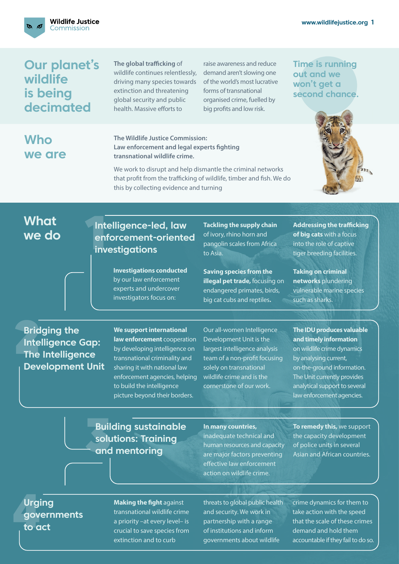

| <b>Our planet's</b> |
|---------------------|
| wildlife            |
| is being            |
| decimated           |

**The global trafficking** of wildlife continues relentlessly, driving many species towards extinction and threatening global security and public health. Massive efforts to

**The Wildlife Justice Commission:** 

**transnational wildlife crime.** 

**Law enforcement and legal experts fighting** 

this by collecting evidence and turning

We work to disrupt and help dismantle the criminal networks that profit from the trafficking of wildlife, timber and fish. We do

raise awareness and reduce demand aren't slowing one of the world's most lucrative forms of transnational organised crime, fuelled by big profits and low risk.

## **Time is running out and we won't get a second chance.**



# **What we do**

**Who** 

**we are**

## |<br>| Inte<br>| inve<br>| **Intelligence-led, law enforcement-oriented investigations**

**Investigations conducted**  by our law enforcement experts and undercover investigators focus on:

**Tackling the supply chain**  of ivory, rhino horn and pangolin scales from Africa to Asia.

**Saving species from the illegal pet trade,** focusing on endangered primates, birds, big cat cubs and reptiles**.**

**Addressing the trafficking of big cats** with a focus into the role of captive tiger breeding facilities.

**Taking on criminal networks** plundering vulnerable marine species such as sharks.

-<br>Brid<br>Inte<br>The **Bridging the Intelligence Gap: The Intelligence Development Unit**

**We support international law enforcement** cooperation by developing intelligence on transnational criminality and sharing it with national law enforcement agencies, helping to build the intelligence picture beyond their borders.

Our all-women Intelligence Development Unit is the largest intelligence analysis team of a non-profit focusing solely on transnational wildlife crime and is the cornerstone of our work.

**The IDU produces valuable and [timely information](https://wildlifejustice.org/news-and-publications/)** on wildlife crime dynamics by analysing current, on-the-ground information. The Unit currently provides analytical support to several law enforcement agencies.

## Buil<br>solu<br>and<br>and **Building sustainable solutions: Training and mentoring**

**In many countries,** 

inadequate technical and human resources and capacity are major factors preventing effective law enforcement action on wildlife crime.

**To remedy this,** we support the capacity development of police units in several Asian and African countries.

## Urgi<br>gov<br>to a **Urging governments to act**

**Making the fight** against transnational wildlife crime a priority –at every level– is crucial to save species from extinction and to curb

threats to global public health and security. We work in partnership with a range of institutions and inform governments about wildlife

crime dynamics for them to take action with the speed that the scale of these crimes demand and hold them accountable if they fail to do so.